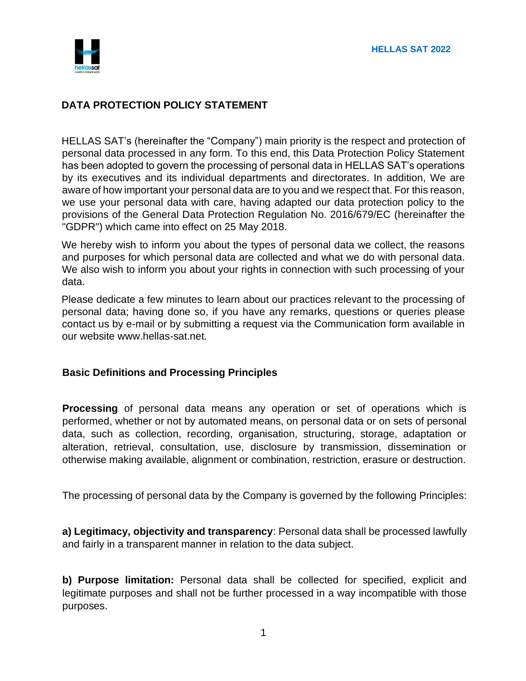

# **DATA PROTECTION POLICY STATEMENT**

HELLAS SAT's (hereinafter the "Company") main priority is the respect and protection of personal data processed in any form. To this end, this Data Protection Policy Statement has been adopted to govern the processing of personal data in HELLAS SAT's operations by its executives and its individual departments and directorates. In addition, We are aware of how important your personal data are to you and we respect that. For this reason, we use your personal data with care, having adapted our data protection policy to the provisions of the General Data Protection Regulation No. 2016/679/EC (hereinafter the "GDPR") which came into effect on 25 May 2018.

We hereby wish to inform you about the types of personal data we collect, the reasons and purposes for which personal data are collected and what we do with personal data. We also wish to inform you about your rights in connection with such processing of your data.

Please dedicate a few minutes to learn about our practices relevant to the processing of personal data; having done so, if you have any remarks, questions or queries please contact us by e-mail or by submitting a request via the Communication form available in our website www.hellas-sat.net.

### **Basic Definitions and Processing Principles**

**Processing** of personal data means any operation or set of operations which is performed, whether or not by automated means, on personal data or on sets of personal data, such as collection, recording, organisation, structuring, storage, adaptation or alteration, retrieval, consultation, use, disclosure by transmission, dissemination or otherwise making available, alignment or combination, restriction, erasure or destruction.

The processing of personal data by the Company is governed by the following Principles:

**a) Legitimacy, objectivity and transparency**: Personal data shall be processed lawfully and fairly in a transparent manner in relation to the data subject.

**b) Purpose limitation:** Personal data shall be collected for specified, explicit and legitimate purposes and shall not be further processed in a way incompatible with those purposes.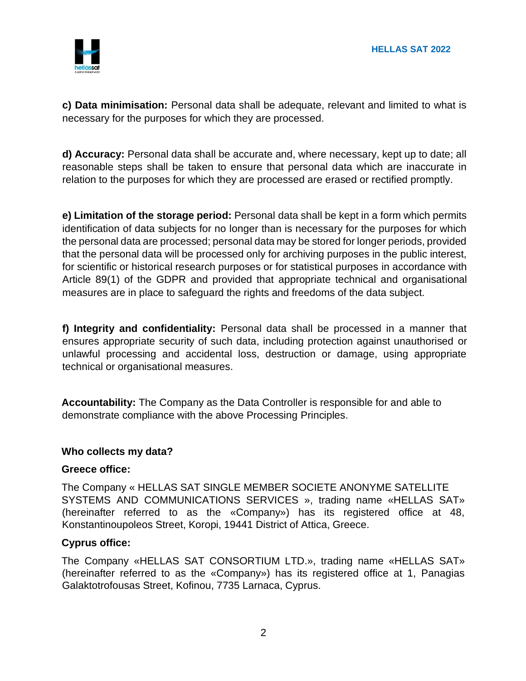

**c) Data minimisation:** Personal data shall be adequate, relevant and limited to what is necessary for the purposes for which they are processed.

**d) Accuracy:** Personal data shall be accurate and, where necessary, kept up to date; all reasonable steps shall be taken to ensure that personal data which are inaccurate in relation to the purposes for which they are processed are erased or rectified promptly.

**e) Limitation of the storage period:** Personal data shall be kept in a form which permits identification of data subjects for no longer than is necessary for the purposes for which the personal data are processed; personal data may be stored for longer periods, provided that the personal data will be processed only for archiving purposes in the public interest, for scientific or historical research purposes or for statistical purposes in accordance with Article 89(1) of the GDPR and provided that appropriate technical and organisational measures are in place to safeguard the rights and freedoms of the data subject.

**f) Integrity and confidentiality:** Personal data shall be processed in a manner that ensures appropriate security of such data, including protection against unauthorised or unlawful processing and accidental loss, destruction or damage, using appropriate technical or organisational measures.

**Accountability:** The Company as the Data Controller is responsible for and able to demonstrate compliance with the above Processing Principles.

#### **Who collects my data?**

#### **Greece office:**

The Company « HELLAS SAT SINGLE MEMBER SOCIETE ANONYME SATELLITE SYSTEMS AND COMMUNICATIONS SERVICES », trading name «HELLAS SAT» (hereinafter referred to as the «Company») has its registered office at 48, Konstantinoupoleos Street, Koropi, 19441 District of Attica, Greece.

### **Cyprus office:**

The Company «HELLAS SAT CONSORTIUM LTD.», trading name «HELLAS SAT» (hereinafter referred to as the «Company») has its registered office at 1, Panagias Galaktotrofousas Street, Kofinou, 7735 Larnaca, Cyprus.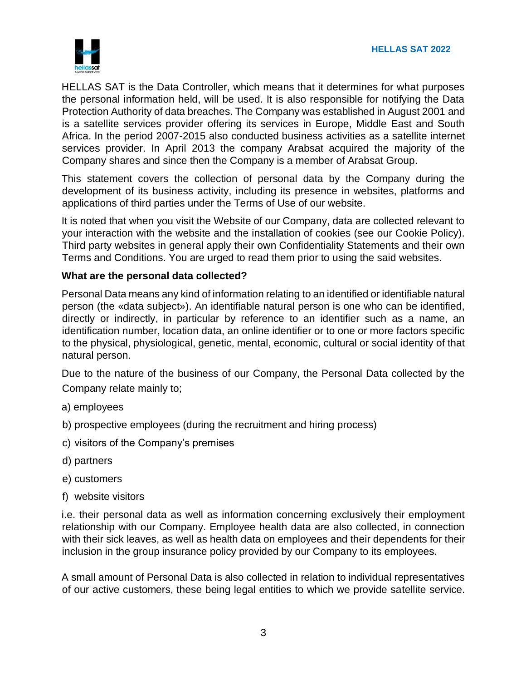

HELLAS SAT is the Data Controller, which means that it determines for what purposes the personal information held, will be used. It is also responsible for notifying the Data Protection Authority of data breaches. The Company was established in August 2001 and is a satellite services provider offering its services in Europe, Middle East and South Africa. In the period 2007-2015 also conducted business activities as a satellite internet services provider. In April 2013 the company Arabsat acquired the majority of the Company shares and since then the Company is a member of Arabsat Group.

This statement covers the collection of personal data by the Company during the development of its business activity, including its presence in websites, platforms and applications of third parties under the Terms of Use of our website.

It is noted that when you visit the Website of our Company, data are collected relevant to your interaction with the website and the installation of cookies (see our Cookie Policy). Third party websites in general apply their own Confidentiality Statements and their own Terms and Conditions. You are urged to read them prior to using the said websites.

# **What are the personal data collected?**

Personal Data means any kind of information relating to an identified or identifiable natural person (the «data subject»). An identifiable natural person is one who can be identified, directly or indirectly, in particular by reference to an identifier such as a name, an identification number, location data, an online identifier or to one or more factors specific to the physical, physiological, genetic, mental, economic, cultural or social identity of that natural person.

Due to the nature of the business of our Company, the Personal Data collected by the Company relate mainly to;

- a) employees
- b) prospective employees (during the recruitment and hiring process)
- c) visitors of the Company's premises
- d) partners
- e) customers
- f) website visitors

i.e. their personal data as well as information concerning exclusively their employment relationship with our Company. Employee health data are also collected, in connection with their sick leaves, as well as health data on employees and their dependents for their inclusion in the group insurance policy provided by our Company to its employees.

A small amount of Personal Data is also collected in relation to individual representatives of our active customers, these being legal entities to which we provide satellite service.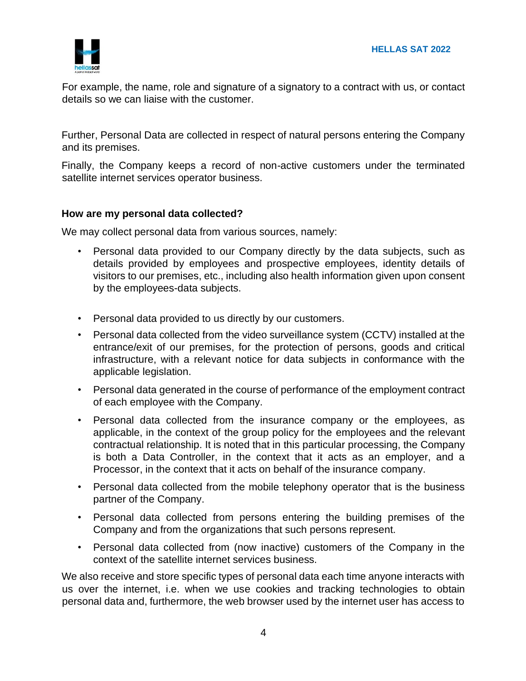

For example, the name, role and signature of a signatory to a contract with us, or contact details so we can liaise with the customer.

Further, Personal Data are collected in respect of natural persons entering the Company and its premises.

Finally, the Company keeps a record of non-active customers under the terminated satellite internet services operator business.

### **How are my personal data collected?**

We may collect personal data from various sources, namely:

- Personal data provided to our Company directly by the data subjects, such as details provided by employees and prospective employees, identity details of visitors to our premises, etc., including also health information given upon consent by the employees-data subjects.
- Personal data provided to us directly by our customers.
- Personal data collected from the video surveillance system (CCTV) installed at the entrance/exit of our premises, for the protection of persons, goods and critical infrastructure, with a relevant notice for data subjects in conformance with the applicable legislation.
- Personal data generated in the course of performance of the employment contract of each employee with the Company.
- Personal data collected from the insurance company or the employees, as applicable, in the context of the group policy for the employees and the relevant contractual relationship. It is noted that in this particular processing, the Company is both a Data Controller, in the context that it acts as an employer, and a Processor, in the context that it acts on behalf of the insurance company.
- Personal data collected from the mobile telephony operator that is the business partner of the Company.
- Personal data collected from persons entering the building premises of the Company and from the organizations that such persons represent.
- Personal data collected from (now inactive) customers of the Company in the context of the satellite internet services business.

We also receive and store specific types of personal data each time anyone interacts with us over the internet, i.e. when we use cookies and tracking technologies to obtain personal data and, furthermore, the web browser used by the internet user has access to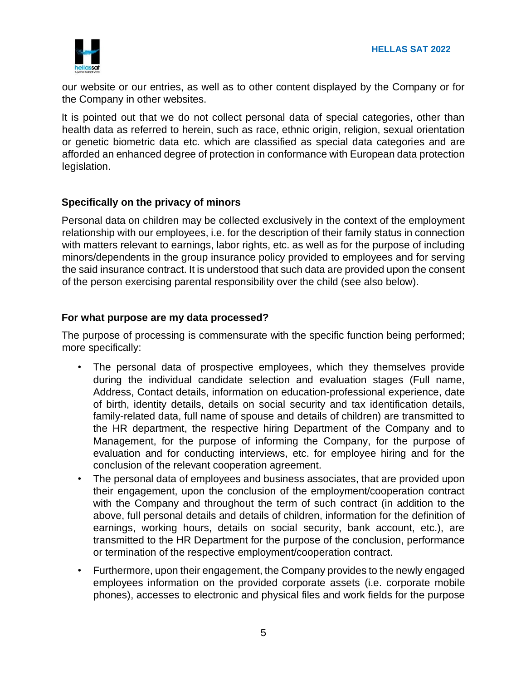

our website or our entries, as well as to other content displayed by the Company or for the Company in other websites.

It is pointed out that we do not collect personal data of special categories, other than health data as referred to herein, such as race, ethnic origin, religion, sexual orientation or genetic biometric data etc. which are classified as special data categories and are afforded an enhanced degree of protection in conformance with European data protection legislation.

# **Specifically on the privacy of minors**

Personal data on children may be collected exclusively in the context of the employment relationship with our employees, i.e. for the description of their family status in connection with matters relevant to earnings, labor rights, etc. as well as for the purpose of including minors/dependents in the group insurance policy provided to employees and for serving the said insurance contract. It is understood that such data are provided upon the consent of the person exercising parental responsibility over the child (see also below).

### **For what purpose are my data processed?**

The purpose of processing is commensurate with the specific function being performed; more specifically:

- The personal data of prospective employees, which they themselves provide during the individual candidate selection and evaluation stages (Full name, Address, Contact details, information on education-professional experience, date of birth, identity details, details on social security and tax identification details, family-related data, full name of spouse and details of children) are transmitted to the HR department, the respective hiring Department of the Company and to Management, for the purpose of informing the Company, for the purpose of evaluation and for conducting interviews, etc. for employee hiring and for the conclusion of the relevant cooperation agreement.
- The personal data of employees and business associates, that are provided upon their engagement, upon the conclusion of the employment/cooperation contract with the Company and throughout the term of such contract (in addition to the above, full personal details and details of children, information for the definition of earnings, working hours, details on social security, bank account, etc.), are transmitted to the HR Department for the purpose of the conclusion, performance or termination of the respective employment/cooperation contract.
- Furthermore, upon their engagement, the Company provides to the newly engaged employees information on the provided corporate assets (i.e. corporate mobile phones), accesses to electronic and physical files and work fields for the purpose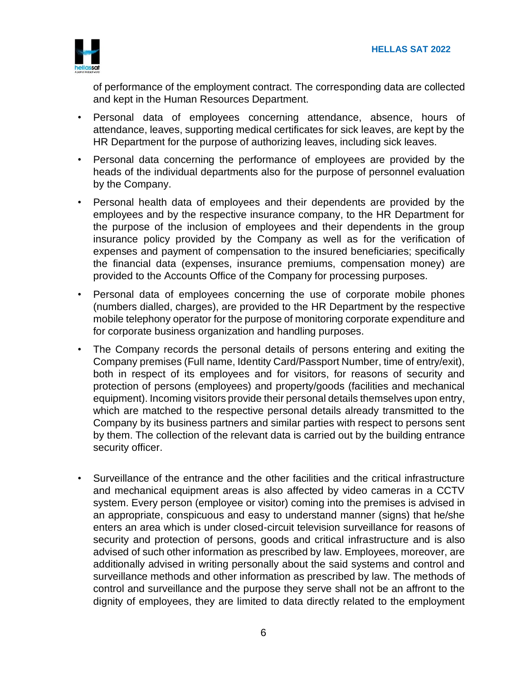

of performance of the employment contract. The corresponding data are collected and kept in the Human Resources Department.

- Personal data of employees concerning attendance, absence, hours of attendance, leaves, supporting medical certificates for sick leaves, are kept by the HR Department for the purpose of authorizing leaves, including sick leaves.
- Personal data concerning the performance of employees are provided by the heads of the individual departments also for the purpose of personnel evaluation by the Company.
- Personal health data of employees and their dependents are provided by the employees and by the respective insurance company, to the HR Department for the purpose of the inclusion of employees and their dependents in the group insurance policy provided by the Company as well as for the verification of expenses and payment of compensation to the insured beneficiaries; specifically the financial data (expenses, insurance premiums, compensation money) are provided to the Accounts Office of the Company for processing purposes.
- Personal data of employees concerning the use of corporate mobile phones (numbers dialled, charges), are provided to the HR Department by the respective mobile telephony operator for the purpose of monitoring corporate expenditure and for corporate business organization and handling purposes.
- The Company records the personal details of persons entering and exiting the Company premises (Full name, Identity Card/Passport Number, time of entry/exit), both in respect of its employees and for visitors, for reasons of security and protection of persons (employees) and property/goods (facilities and mechanical equipment). Incoming visitors provide their personal details themselves upon entry, which are matched to the respective personal details already transmitted to the Company by its business partners and similar parties with respect to persons sent by them. The collection of the relevant data is carried out by the building entrance security officer.
- Surveillance of the entrance and the other facilities and the critical infrastructure and mechanical equipment areas is also affected by video cameras in a CCTV system. Every person (employee or visitor) coming into the premises is advised in an appropriate, conspicuous and easy to understand manner (signs) that he/she enters an area which is under closed-circuit television surveillance for reasons of security and protection of persons, goods and critical infrastructure and is also advised of such other information as prescribed by law. Employees, moreover, are additionally advised in writing personally about the said systems and control and surveillance methods and other information as prescribed by law. The methods of control and surveillance and the purpose they serve shall not be an affront to the dignity of employees, they are limited to data directly related to the employment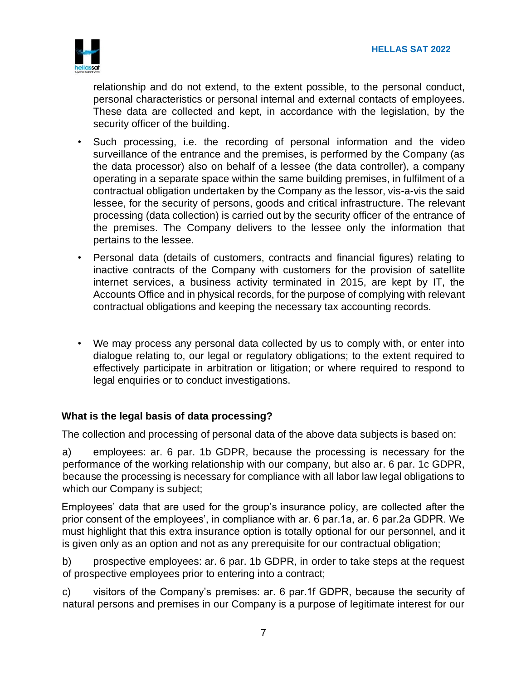

relationship and do not extend, to the extent possible, to the personal conduct, personal characteristics or personal internal and external contacts of employees. These data are collected and kept, in accordance with the legislation, by the security officer of the building.

- Such processing, i.e. the recording of personal information and the video surveillance of the entrance and the premises, is performed by the Company (as the data processor) also on behalf of a lessee (the data controller), a company operating in a separate space within the same building premises, in fulfilment of a contractual obligation undertaken by the Company as the lessor, vis-a-vis the said lessee, for the security of persons, goods and critical infrastructure. The relevant processing (data collection) is carried out by the security officer of the entrance of the premises. The Company delivers to the lessee only the information that pertains to the lessee.
- Personal data (details of customers, contracts and financial figures) relating to inactive contracts of the Company with customers for the provision of satellite internet services, a business activity terminated in 2015, are kept by IT, the Accounts Office and in physical records, for the purpose of complying with relevant contractual obligations and keeping the necessary tax accounting records.
- We may process any personal data collected by us to comply with, or enter into dialogue relating to, our legal or regulatory obligations; to the extent required to effectively participate in arbitration or litigation; or where required to respond to legal enquiries or to conduct investigations.

# **What is the legal basis of data processing?**

The collection and processing of personal data of the above data subjects is based on:

a) employees: ar. 6 par. 1b GDPR, because the processing is necessary for the performance of the working relationship with our company, but also ar. 6 par. 1c GDPR, because the processing is necessary for compliance with all labor law legal obligations to which our Company is subject;

Employees' data that are used for the group's insurance policy, are collected after the prior consent of the employees', in compliance with ar. 6 par.1a, ar. 6 par.2a GDPR. We must highlight that this extra insurance option is totally optional for our personnel, and it is given only as an option and not as any prerequisite for our contractual obligation;

b) prospective employees: ar. 6 par. 1b GDPR, in order to take steps at the request of prospective employees prior to entering into a contract;

c) visitors of the Company's premises: ar. 6 par.1f GDPR, because the security of natural persons and premises in our Company is a purpose of legitimate interest for our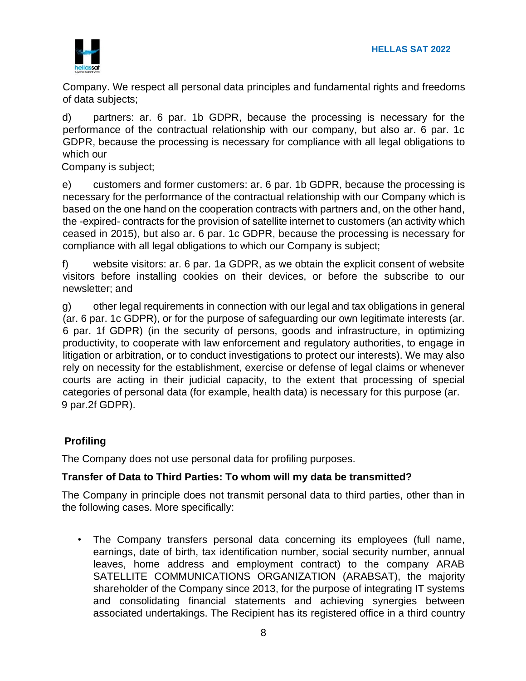

Company. We respect all personal data principles and fundamental rights and freedoms of data subjects;

d) partners: ar. 6 par. 1b GDPR, because the processing is necessary for the performance of the contractual relationship with our company, but also ar. 6 par. 1c GDPR, because the processing is necessary for compliance with all legal obligations to which our

Company is subject;

e) customers and former customers: ar. 6 par. 1b GDPR, because the processing is necessary for the performance of the contractual relationship with our Company which is based on the one hand on the cooperation contracts with partners and, on the other hand, the -expired- contracts for the provision of satellite internet to customers (an activity which ceased in 2015), but also ar. 6 par. 1c GDPR, because the processing is necessary for compliance with all legal obligations to which our Company is subject;

f) website visitors: ar. 6 par. 1a GDPR, as we obtain the explicit consent of website visitors before installing cookies on their devices, or before the subscribe to our newsletter; and

g) other legal requirements in connection with our legal and tax obligations in general (ar. 6 par. 1c GDPR), or for the purpose of safeguarding our own legitimate interests (ar. 6 par. 1f GDPR) (in the security of persons, goods and infrastructure, in optimizing productivity, to cooperate with law enforcement and regulatory authorities, to engage in litigation or arbitration, or to conduct investigations to protect our interests). We may also rely on necessity for the establishment, exercise or defense of legal claims or whenever courts are acting in their judicial capacity, to the extent that processing of special categories of personal data (for example, health data) is necessary for this purpose (ar. 9 par.2f GDPR).

# **Profiling**

The Company does not use personal data for profiling purposes.

# **Transfer of Data to Third Parties: To whom will my data be transmitted?**

The Company in principle does not transmit personal data to third parties, other than in the following cases. More specifically:

• The Company transfers personal data concerning its employees (full name, earnings, date of birth, tax identification number, social security number, annual leaves, home address and employment contract) to the company ARAB SATELLITE COMMUNICATIONS ORGANIZATION (ARABSAT), the majority shareholder of the Company since 2013, for the purpose of integrating IT systems and consolidating financial statements and achieving synergies between associated undertakings. The Recipient has its registered office in a third country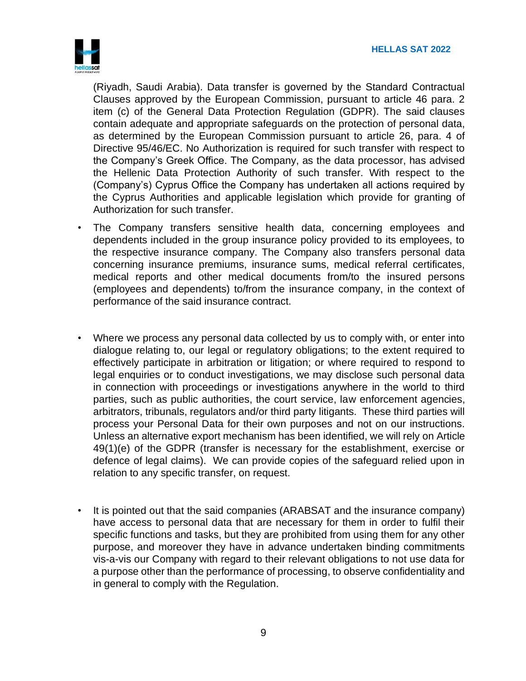

(Riyadh, Saudi Arabia). Data transfer is governed by the Standard Contractual Clauses approved by the European Commission, pursuant to article 46 para. 2 item (c) of the General Data Protection Regulation (GDPR). The said clauses contain adequate and appropriate safeguards on the protection of personal data, as determined by the European Commission pursuant to article 26, para. 4 of Directive 95/46/EC. No Authorization is required for such transfer with respect to the Company's Greek Office. The Company, as the data processor, has advised the Hellenic Data Protection Authority of such transfer. With respect to the (Company's) Cyprus Office the Company has undertaken all actions required by the Cyprus Authorities and applicable legislation which provide for granting of Authorization for such transfer.

- The Company transfers sensitive health data, concerning employees and dependents included in the group insurance policy provided to its employees, to the respective insurance company. The Company also transfers personal data concerning insurance premiums, insurance sums, medical referral certificates, medical reports and other medical documents from/to the insured persons (employees and dependents) to/from the insurance company, in the context of performance of the said insurance contract.
- Where we process any personal data collected by us to comply with, or enter into dialogue relating to, our legal or regulatory obligations; to the extent required to effectively participate in arbitration or litigation; or where required to respond to legal enquiries or to conduct investigations, we may disclose such personal data in connection with proceedings or investigations anywhere in the world to third parties, such as public authorities, the court service, law enforcement agencies, arbitrators, tribunals, regulators and/or third party litigants. These third parties will process your Personal Data for their own purposes and not on our instructions. Unless an alternative export mechanism has been identified, we will rely on Article 49(1)(e) of the GDPR (transfer is necessary for the establishment, exercise or defence of legal claims). We can provide copies of the safeguard relied upon in relation to any specific transfer, on request.
- It is pointed out that the said companies (ARABSAT and the insurance company) have access to personal data that are necessary for them in order to fulfil their specific functions and tasks, but they are prohibited from using them for any other purpose, and moreover they have in advance undertaken binding commitments vis-a-vis our Company with regard to their relevant obligations to not use data for a purpose other than the performance of processing, to observe confidentiality and in general to comply with the Regulation.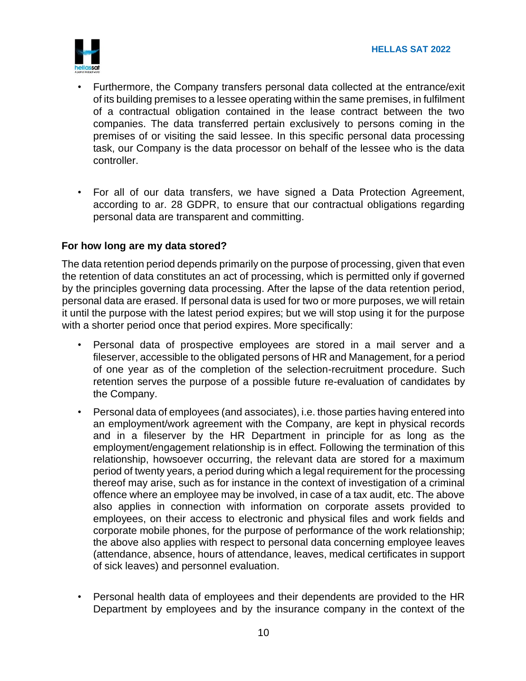

- Furthermore, the Company transfers personal data collected at the entrance/exit of its building premises to a lessee operating within the same premises, in fulfilment of a contractual obligation contained in the lease contract between the two companies. The data transferred pertain exclusively to persons coming in the premises of or visiting the said lessee. In this specific personal data processing task, our Company is the data processor on behalf of the lessee who is the data controller.
- For all of our data transfers, we have signed a Data Protection Agreement, according to ar. 28 GDPR, to ensure that our contractual obligations regarding personal data are transparent and committing.

### **For how long are my data stored?**

The data retention period depends primarily on the purpose of processing, given that even the retention of data constitutes an act of processing, which is permitted only if governed by the principles governing data processing. After the lapse of the data retention period, personal data are erased. If personal data is used for two or more purposes, we will retain it until the purpose with the latest period expires; but we will stop using it for the purpose with a shorter period once that period expires. More specifically:

- Personal data of prospective employees are stored in a mail server and a fileserver, accessible to the obligated persons of HR and Management, for a period of one year as of the completion of the selection-recruitment procedure. Such retention serves the purpose of a possible future re-evaluation of candidates by the Company.
- Personal data of employees (and associates), i.e. those parties having entered into an employment/work agreement with the Company, are kept in physical records and in a fileserver by the HR Department in principle for as long as the employment/engagement relationship is in effect. Following the termination of this relationship, howsoever occurring, the relevant data are stored for a maximum period of twenty years, a period during which a legal requirement for the processing thereof may arise, such as for instance in the context of investigation of a criminal offence where an employee may be involved, in case of a tax audit, etc. The above also applies in connection with information on corporate assets provided to employees, on their access to electronic and physical files and work fields and corporate mobile phones, for the purpose of performance of the work relationship; the above also applies with respect to personal data concerning employee leaves (attendance, absence, hours of attendance, leaves, medical certificates in support of sick leaves) and personnel evaluation.
- Personal health data of employees and their dependents are provided to the HR Department by employees and by the insurance company in the context of the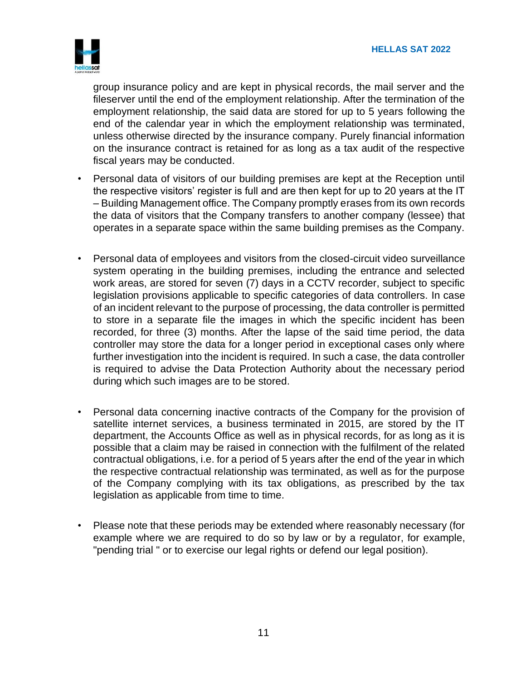

group insurance policy and are kept in physical records, the mail server and the fileserver until the end of the employment relationship. After the termination of the employment relationship, the said data are stored for up to 5 years following the end of the calendar year in which the employment relationship was terminated, unless otherwise directed by the insurance company. Purely financial information on the insurance contract is retained for as long as a tax audit of the respective fiscal years may be conducted.

- Personal data of visitors of our building premises are kept at the Reception until the respective visitors' register is full and are then kept for up to 20 years at the IT – Building Management office. The Company promptly erases from its own records the data of visitors that the Company transfers to another company (lessee) that operates in a separate space within the same building premises as the Company.
- Personal data of employees and visitors from the closed-circuit video surveillance system operating in the building premises, including the entrance and selected work areas, are stored for seven (7) days in a CCTV recorder, subject to specific legislation provisions applicable to specific categories of data controllers. In case of an incident relevant to the purpose of processing, the data controller is permitted to store in a separate file the images in which the specific incident has been recorded, for three (3) months. After the lapse of the said time period, the data controller may store the data for a longer period in exceptional cases only where further investigation into the incident is required. In such a case, the data controller is required to advise the Data Protection Authority about the necessary period during which such images are to be stored.
- Personal data concerning inactive contracts of the Company for the provision of satellite internet services, a business terminated in 2015, are stored by the IT department, the Accounts Office as well as in physical records, for as long as it is possible that a claim may be raised in connection with the fulfilment of the related contractual obligations, i.e. for a period of 5 years after the end of the year in which the respective contractual relationship was terminated, as well as for the purpose of the Company complying with its tax obligations, as prescribed by the tax legislation as applicable from time to time.
- Please note that these periods may be extended where reasonably necessary (for example where we are required to do so by law or by a regulator, for example, "pending trial " or to exercise our legal rights or defend our legal position).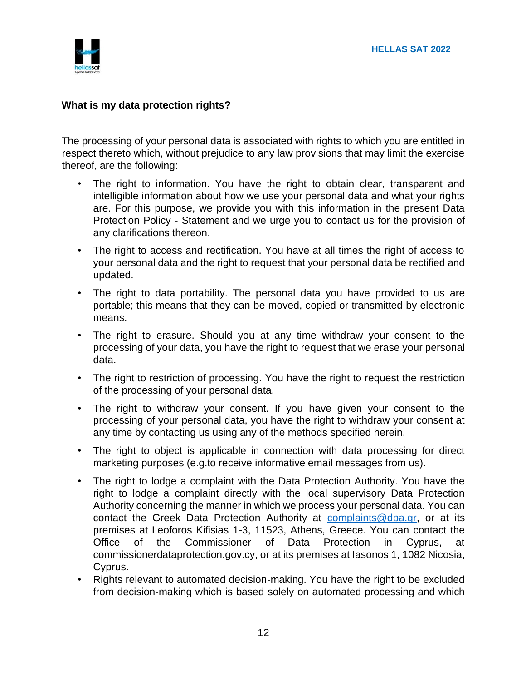# **What is my data protection rights?**

The processing of your personal data is associated with rights to which you are entitled in respect thereto which, without prejudice to any law provisions that may limit the exercise thereof, are the following:

- The right to information. You have the right to obtain clear, transparent and intelligible information about how we use your personal data and what your rights are. For this purpose, we provide you with this information in the present Data Protection Policy - Statement and we urge you to contact us for the provision of any clarifications thereon.
- The right to access and rectification. You have at all times the right of access to your personal data and the right to request that your personal data be rectified and updated.
- The right to data portability. The personal data you have provided to us are portable; this means that they can be moved, copied or transmitted by electronic means.
- The right to erasure. Should you at any time withdraw your consent to the processing of your data, you have the right to request that we erase your personal data.
- The right to restriction of processing. You have the right to request the restriction of the processing of your personal data.
- The right to withdraw your consent. If you have given your consent to the processing of your personal data, you have the right to withdraw your consent at any time by contacting us using any of the methods specified herein.
- The right to object is applicable in connection with data processing for direct marketing purposes (e.g.to receive informative email messages from us).
- The right to lodge a complaint with the Data Protection Authority. You have the right to lodge a complaint directly with the local supervisory Data Protection Authority concerning the manner in which we process your personal data. You can contact the Greek Data Protection Authority at complaints@dpa.gr, or at its premises at Leoforos Kifisias 1-3, 11523, Athens, Greece. You can contact the Office of the Commissioner of Data Protection in Cyprus, at commissionerdataprotection.gov.cy, or at its premises at Iasonos 1, 1082 Nicosia, Cyprus.
- Rights relevant to automated decision-making. You have the right to be excluded from decision-making which is based solely on automated processing and which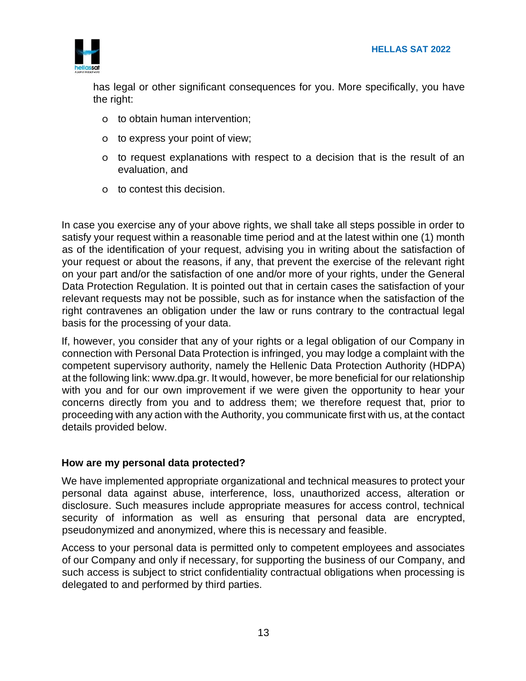

has legal or other significant consequences for you. More specifically, you have the right:

- o to obtain human intervention;
- o to express your point of view;
- o to request explanations with respect to a decision that is the result of an evaluation, and
- o to contest this decision.

In case you exercise any of your above rights, we shall take all steps possible in order to satisfy your request within a reasonable time period and at the latest within one (1) month as of the identification of your request, advising you in writing about the satisfaction of your request or about the reasons, if any, that prevent the exercise of the relevant right on your part and/or the satisfaction of one and/or more of your rights, under the General Data Protection Regulation. It is pointed out that in certain cases the satisfaction of your relevant requests may not be possible, such as for instance when the satisfaction of the right contravenes an obligation under the law or runs contrary to the contractual legal basis for the processing of your data.

If, however, you consider that any of your rights or a legal obligation of our Company in connection with Personal Data Protection is infringed, you may lodge a complaint with the competent supervisory authority, namely the Hellenic Data Protection Authority (HDPA) at the following link: www.dpa.gr. It would, however, be more beneficial for our relationship with you and for our own improvement if we were given the opportunity to hear your concerns directly from you and to address them; we therefore request that, prior to proceeding with any action with the Authority, you communicate first with us, at the contact details provided below.

### **How are my personal data protected?**

We have implemented appropriate organizational and technical measures to protect your personal data against abuse, interference, loss, unauthorized access, alteration or disclosure. Such measures include appropriate measures for access control, technical security of information as well as ensuring that personal data are encrypted, pseudonymized and anonymized, where this is necessary and feasible.

Access to your personal data is permitted only to competent employees and associates of our Company and only if necessary, for supporting the business of our Company, and such access is subject to strict confidentiality contractual obligations when processing is delegated to and performed by third parties.